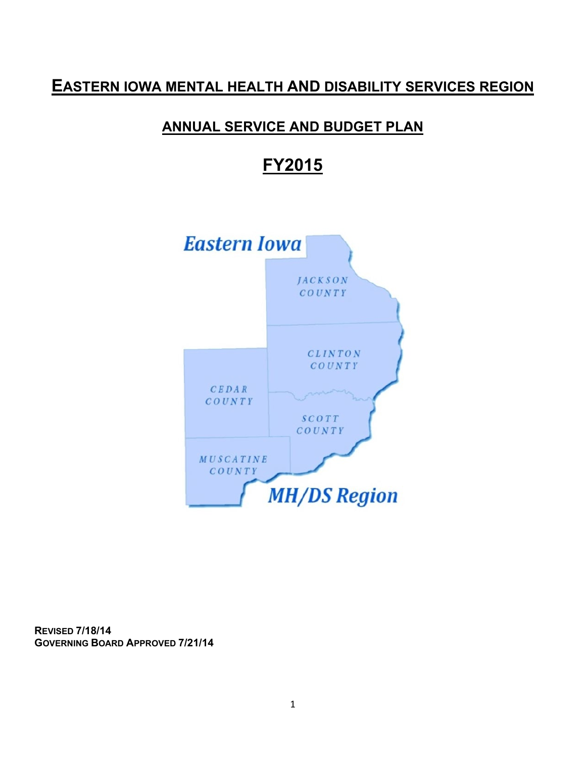## **EASTERN IOWA MENTAL HEALTH AND DISABILITY SERVICES REGION**

## **ANNUAL SERVICE AND BUDGET PLAN**

# **FY2015**



**REVISED 7/18/14 GOVERNING BOARD APPROVED 7/21/14**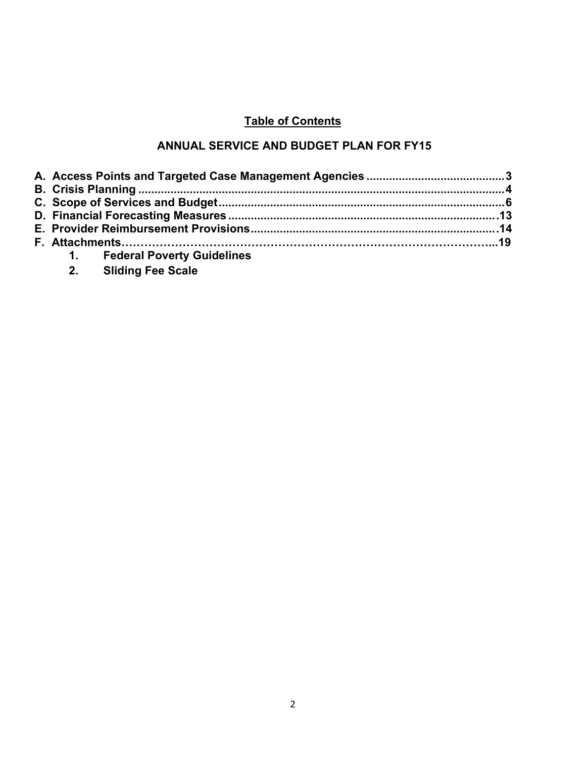#### **Table of Contents**

## **ANNUAL SERVICE AND BUDGET PLAN FOR FY15**

|  | 1. Federal Poverty Guidelines |  |  |  |
|--|-------------------------------|--|--|--|
|  | 2. Sliding Fee Scale          |  |  |  |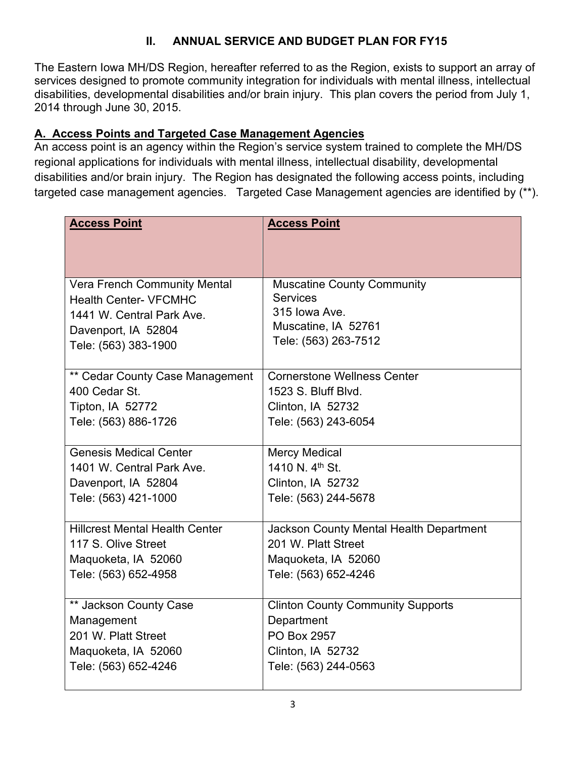### **II. ANNUAL SERVICE AND BUDGET PLAN FOR FY15**

The Eastern Iowa MH/DS Region, hereafter referred to as the Region, exists to support an array of services designed to promote community integration for individuals with mental illness, intellectual disabilities, developmental disabilities and/or brain injury. This plan covers the period from July 1, 2014 through June 30, 2015.

#### <span id="page-2-0"></span>**A. Access Points and Targeted Case Management Agencies**

An access point is an agency within the Region's service system trained to complete the MH/DS regional applications for individuals with mental illness, intellectual disability, developmental disabilities and/or brain injury. The Region has designated the following access points, including targeted case management agencies. Targeted Case Management agencies are identified by (\*\*).

| <b>Access Point</b>                   | <b>Access Point</b>                                  |
|---------------------------------------|------------------------------------------------------|
|                                       |                                                      |
|                                       |                                                      |
|                                       |                                                      |
| <b>Vera French Community Mental</b>   | <b>Muscatine County Community</b><br><b>Services</b> |
| <b>Health Center- VFCMHC</b>          | 315 Iowa Ave.                                        |
| 1441 W. Central Park Ave.             | Muscatine, IA 52761                                  |
| Davenport, IA 52804                   | Tele: (563) 263-7512                                 |
| Tele: (563) 383-1900                  |                                                      |
| ** Cedar County Case Management       | <b>Cornerstone Wellness Center</b>                   |
| 400 Cedar St.                         | 1523 S. Bluff Blvd.                                  |
| Tipton, IA 52772                      | Clinton, IA 52732                                    |
| Tele: (563) 886-1726                  | Tele: (563) 243-6054                                 |
|                                       |                                                      |
| <b>Genesis Medical Center</b>         | <b>Mercy Medical</b>                                 |
| 1401 W. Central Park Ave.             | 1410 N. 4 <sup>th</sup> St.                          |
| Davenport, IA 52804                   | Clinton, IA 52732                                    |
| Tele: (563) 421-1000                  | Tele: (563) 244-5678                                 |
|                                       |                                                      |
| <b>Hillcrest Mental Health Center</b> | Jackson County Mental Health Department              |
| 117 S. Olive Street                   | 201 W. Platt Street                                  |
| Maquoketa, IA 52060                   | Maquoketa, IA 52060                                  |
| Tele: (563) 652-4958                  | Tele: (563) 652-4246                                 |
|                                       |                                                      |
| ** Jackson County Case                | <b>Clinton County Community Supports</b>             |
| Management                            | Department                                           |
| 201 W. Platt Street                   | PO Box 2957                                          |
| Maquoketa, IA 52060                   | Clinton, IA 52732                                    |
| Tele: (563) 652-4246                  | Tele: (563) 244-0563                                 |
|                                       |                                                      |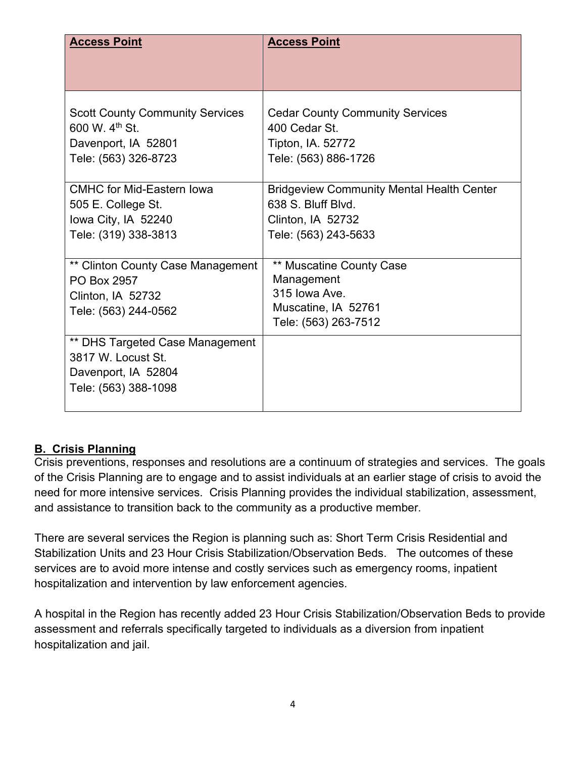| <b>Access Point</b>                                                                                         | <b>Access Point</b>                                                                                                 |
|-------------------------------------------------------------------------------------------------------------|---------------------------------------------------------------------------------------------------------------------|
|                                                                                                             |                                                                                                                     |
| <b>Scott County Community Services</b><br>600 W. 4th St.<br>Davenport, IA 52801<br>Tele: (563) 326-8723     | <b>Cedar County Community Services</b><br>400 Cedar St.<br>Tipton, IA. 52772<br>Tele: (563) 886-1726                |
| <b>CMHC for Mid-Eastern Iowa</b><br>505 E. College St.<br>Iowa City, IA 52240<br>Tele: (319) 338-3813       | <b>Bridgeview Community Mental Health Center</b><br>638 S. Bluff Blvd.<br>Clinton, IA 52732<br>Tele: (563) 243-5633 |
| ** Clinton County Case Management<br>PO Box 2957<br>Clinton, IA 52732<br>Tele: (563) 244-0562               | ** Muscatine County Case<br>Management<br>315 Iowa Ave.<br>Muscatine, IA 52761<br>Tele: (563) 263-7512              |
| <b>** DHS Targeted Case Management</b><br>3817 W. Locust St.<br>Davenport, IA 52804<br>Tele: (563) 388-1098 |                                                                                                                     |

### <span id="page-3-0"></span>**B. Crisis Planning**

Crisis preventions, responses and resolutions are a continuum of strategies and services. The goals of the Crisis Planning are to engage and to assist individuals at an earlier stage of crisis to avoid the need for more intensive services. Crisis Planning provides the individual stabilization, assessment, and assistance to transition back to the community as a productive member.

There are several services the Region is planning such as: Short Term Crisis Residential and Stabilization Units and 23 Hour Crisis Stabilization/Observation Beds. The outcomes of these services are to avoid more intense and costly services such as emergency rooms, inpatient hospitalization and intervention by law enforcement agencies.

A hospital in the Region has recently added 23 Hour Crisis Stabilization/Observation Beds to provide assessment and referrals specifically targeted to individuals as a diversion from inpatient hospitalization and jail.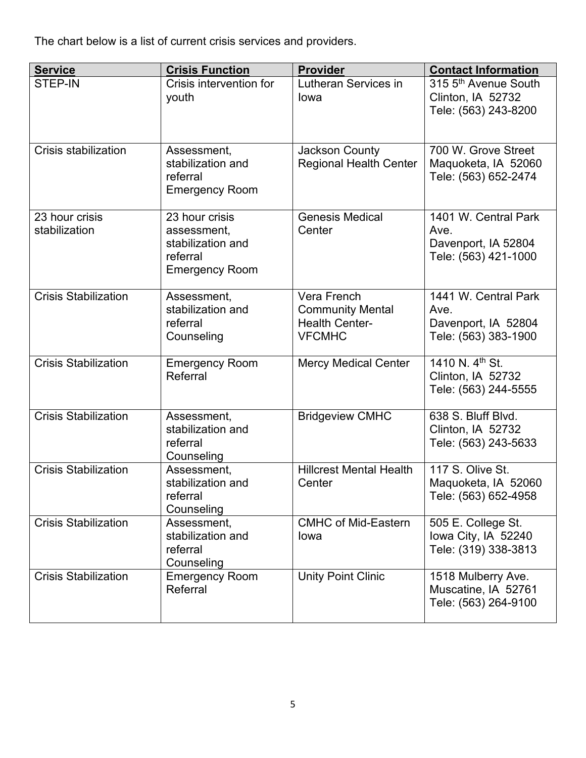The chart below is a list of current crisis services and providers.

| <b>Service</b>                  | <b>Crisis Function</b>                                                                  | <b>Provider</b>                                                                  | <b>Contact Information</b>                                                    |
|---------------------------------|-----------------------------------------------------------------------------------------|----------------------------------------------------------------------------------|-------------------------------------------------------------------------------|
| STEP-IN                         | Crisis intervention for<br>youth                                                        | Lutheran Services in<br>lowa                                                     | 315 5 <sup>th</sup> Avenue South<br>Clinton, IA 52732<br>Tele: (563) 243-8200 |
| Crisis stabilization            | Assessment,<br>stabilization and<br>referral<br><b>Emergency Room</b>                   | <b>Jackson County</b><br><b>Regional Health Center</b>                           | 700 W. Grove Street<br>Maquoketa, IA 52060<br>Tele: (563) 652-2474            |
| 23 hour crisis<br>stabilization | 23 hour crisis<br>assessment,<br>stabilization and<br>referral<br><b>Emergency Room</b> | <b>Genesis Medical</b><br>Center                                                 | 1401 W. Central Park<br>Ave.<br>Davenport, IA 52804<br>Tele: (563) 421-1000   |
| <b>Crisis Stabilization</b>     | Assessment,<br>stabilization and<br>referral<br>Counseling                              | Vera French<br><b>Community Mental</b><br><b>Health Center-</b><br><b>VFCMHC</b> | 1441 W. Central Park<br>Ave.<br>Davenport, IA 52804<br>Tele: (563) 383-1900   |
| <b>Crisis Stabilization</b>     | <b>Emergency Room</b><br>Referral                                                       | <b>Mercy Medical Center</b>                                                      | 1410 N. 4th St.<br>Clinton, IA 52732<br>Tele: (563) 244-5555                  |
| <b>Crisis Stabilization</b>     | Assessment,<br>stabilization and<br>referral<br>Counseling                              | <b>Bridgeview CMHC</b>                                                           | 638 S. Bluff Blvd.<br>Clinton, IA 52732<br>Tele: (563) 243-5633               |
| <b>Crisis Stabilization</b>     | Assessment,<br>stabilization and<br>referral<br>Counseling                              | <b>Hillcrest Mental Health</b><br>Center                                         | 117 S. Olive St.<br>Maquoketa, IA 52060<br>Tele: (563) 652-4958               |
| <b>Crisis Stabilization</b>     | Assessment,<br>stabilization and<br>referral<br>Counseling                              | <b>CMHC of Mid-Eastern</b><br>Iowa                                               | 505 E. College St.<br>Iowa City, IA 52240<br>Tele: (319) 338-3813             |
| <b>Crisis Stabilization</b>     | <b>Emergency Room</b><br>Referral                                                       | <b>Unity Point Clinic</b>                                                        | 1518 Mulberry Ave.<br>Muscatine, IA 52761<br>Tele: (563) 264-9100             |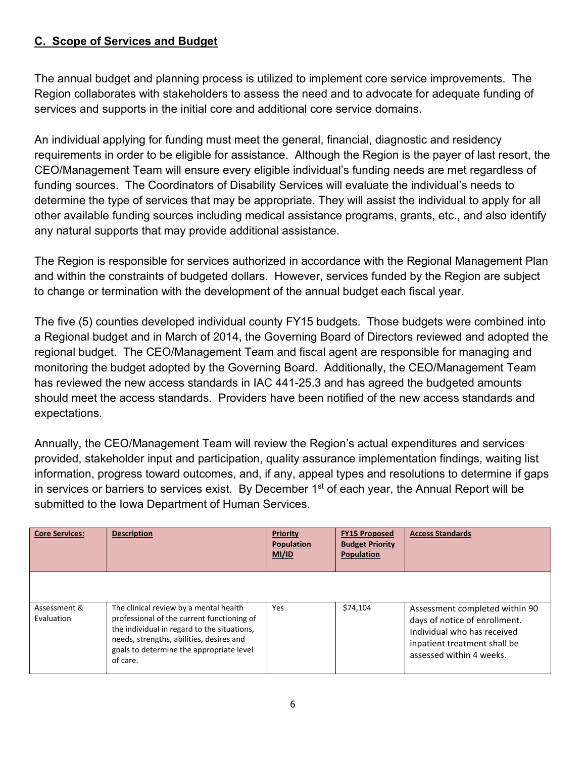#### <span id="page-5-0"></span>**C. Scope of Services and Budget**

The annual budget and planning process is utilized to implement core service improvements. The Region collaborates with stakeholders to assess the need and to advocate for adequate funding of services and supports in the initial core and additional core service domains.

An individual applying for funding must meet the general, financial, diagnostic and residency requirements in order to be eligible for assistance. Although the Region is the payer of last resort, the CEO/Management Team will ensure every eligible individual's funding needs are met regardless of funding sources. The Coordinators of Disability Services will evaluate the individual's needs to determine the type of services that may be appropriate. They will assist the individual to apply for all other available funding sources including medical assistance programs, grants, etc., and also identify any natural supports that may provide additional assistance.

The Region is responsible for services authorized in accordance with the Regional Management Plan and within the constraints of budgeted dollars. However, services funded by the Region are subject to change or termination with the development of the annual budget each fiscal year.

The five (5) counties developed individual county FY15 budgets. Those budgets were combined into a Regional budget and in March of 2014, the Governing Board of Directors reviewed and adopted the regional budget. The CEO/Management Team and fiscal agent are responsible for managing and monitoring the budget adopted by the Governing Board. Additionally, the CEO/Management Team has reviewed the new access standards in IAC 441-25.3 and has agreed the budgeted amounts should meet the access standards. Providers have been notified of the new access standards and expectations.

Annually, the CEO/Management Team will review the Region's actual expenditures and services provided, stakeholder input and participation, quality assurance implementation findings, waiting list information, progress toward outcomes, and, if any, appeal types and resolutions to determine if gaps in services or barriers to services exist. By December  $1<sup>st</sup>$  of each year, the Annual Report will be submitted to the Iowa Department of Human Services.

| <b>Core Services:</b>      | <b>Description</b>                                                                                                                                                                                                                      | <b>Priority</b><br><b>Population</b><br>MI/ID | <b>FY15 Proposed</b><br><b>Budget Priority</b><br><b>Population</b> | <b>Access Standards</b>                                                                                                                                    |
|----------------------------|-----------------------------------------------------------------------------------------------------------------------------------------------------------------------------------------------------------------------------------------|-----------------------------------------------|---------------------------------------------------------------------|------------------------------------------------------------------------------------------------------------------------------------------------------------|
|                            |                                                                                                                                                                                                                                         |                                               |                                                                     |                                                                                                                                                            |
| Assessment &<br>Fvaluation | The clinical review by a mental health<br>professional of the current functioning of<br>the individual in regard to the situations,<br>needs, strengths, abilities, desires and<br>goals to determine the appropriate level<br>of care. | <b>Yes</b>                                    | \$74,104                                                            | Assessment completed within 90<br>days of notice of enrollment.<br>Individual who has received<br>inpatient treatment shall be<br>assessed within 4 weeks. |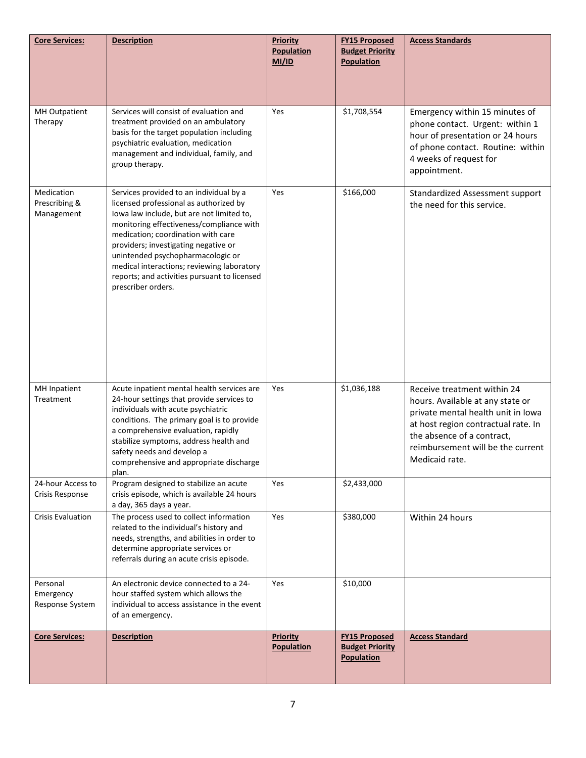| <b>Core Services:</b>                     | <b>Description</b>                                                                                                                                                                                                                                                                                                                                                                                                | <b>Priority</b><br><b>Population</b><br>MI/ID | <b>FY15 Proposed</b><br><b>Budget Priority</b><br><b>Population</b> | <b>Access Standards</b>                                                                                                                                                                                                           |
|-------------------------------------------|-------------------------------------------------------------------------------------------------------------------------------------------------------------------------------------------------------------------------------------------------------------------------------------------------------------------------------------------------------------------------------------------------------------------|-----------------------------------------------|---------------------------------------------------------------------|-----------------------------------------------------------------------------------------------------------------------------------------------------------------------------------------------------------------------------------|
|                                           |                                                                                                                                                                                                                                                                                                                                                                                                                   |                                               |                                                                     |                                                                                                                                                                                                                                   |
| MH Outpatient<br>Therapy                  | Services will consist of evaluation and<br>treatment provided on an ambulatory<br>basis for the target population including<br>psychiatric evaluation, medication<br>management and individual, family, and<br>group therapy.                                                                                                                                                                                     | Yes                                           | \$1,708,554                                                         | Emergency within 15 minutes of<br>phone contact. Urgent: within 1<br>hour of presentation or 24 hours<br>of phone contact. Routine: within<br>4 weeks of request for<br>appointment.                                              |
| Medication<br>Prescribing &<br>Management | Services provided to an individual by a<br>licensed professional as authorized by<br>lowa law include, but are not limited to,<br>monitoring effectiveness/compliance with<br>medication; coordination with care<br>providers; investigating negative or<br>unintended psychopharmacologic or<br>medical interactions; reviewing laboratory<br>reports; and activities pursuant to licensed<br>prescriber orders. | Yes                                           | \$166,000                                                           | Standardized Assessment support<br>the need for this service.                                                                                                                                                                     |
| <b>MH Inpatient</b><br>Treatment          | Acute inpatient mental health services are<br>24-hour settings that provide services to<br>individuals with acute psychiatric<br>conditions. The primary goal is to provide<br>a comprehensive evaluation, rapidly<br>stabilize symptoms, address health and<br>safety needs and develop a<br>comprehensive and appropriate discharge<br>plan.                                                                    | Yes                                           | \$1,036,188                                                         | Receive treatment within 24<br>hours. Available at any state or<br>private mental health unit in Iowa<br>at host region contractual rate. In<br>the absence of a contract,<br>reimbursement will be the current<br>Medicaid rate. |
| 24-hour Access to<br>Crisis Response      | Program designed to stabilize an acute<br>crisis episode, which is available 24 hours<br>a day, 365 days a year.                                                                                                                                                                                                                                                                                                  | Yes                                           | \$2,433,000                                                         |                                                                                                                                                                                                                                   |
| <b>Crisis Evaluation</b>                  | The process used to collect information<br>related to the individual's history and<br>needs, strengths, and abilities in order to<br>determine appropriate services or<br>referrals during an acute crisis episode.                                                                                                                                                                                               | Yes                                           | \$380,000                                                           | Within 24 hours                                                                                                                                                                                                                   |
| Personal<br>Emergency<br>Response System  | An electronic device connected to a 24-<br>hour staffed system which allows the<br>individual to access assistance in the event<br>of an emergency.                                                                                                                                                                                                                                                               | Yes                                           | \$10,000                                                            |                                                                                                                                                                                                                                   |
| <b>Core Services:</b>                     | <b>Description</b>                                                                                                                                                                                                                                                                                                                                                                                                | <b>Priority</b><br><b>Population</b>          | <b>FY15 Proposed</b><br><b>Budget Priority</b><br><b>Population</b> | <b>Access Standard</b>                                                                                                                                                                                                            |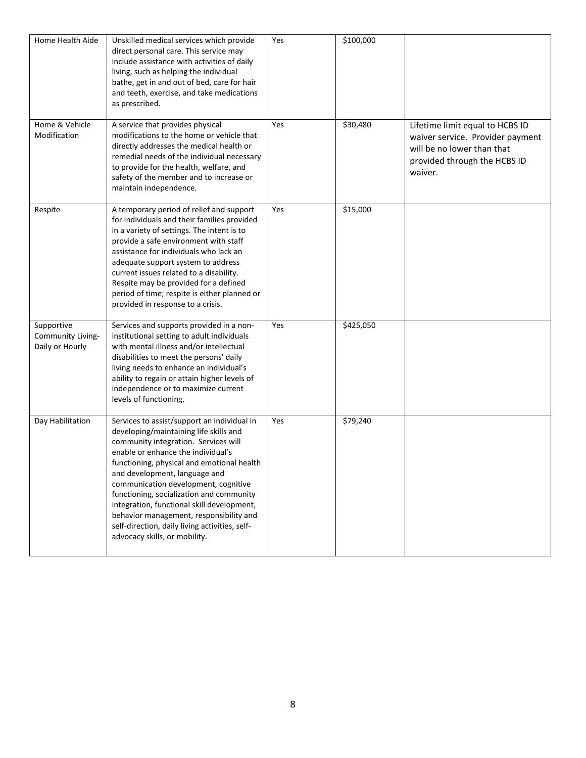| Home Health Aide                                   | Unskilled medical services which provide<br>direct personal care. This service may<br>include assistance with activities of daily<br>living, such as helping the individual<br>bathe, get in and out of bed, care for hair<br>and teeth, exercise, and take medications<br>as prescribed.                                                                                                                                                                                                                          | Yes | \$100,000 |                                                                                                                                              |
|----------------------------------------------------|--------------------------------------------------------------------------------------------------------------------------------------------------------------------------------------------------------------------------------------------------------------------------------------------------------------------------------------------------------------------------------------------------------------------------------------------------------------------------------------------------------------------|-----|-----------|----------------------------------------------------------------------------------------------------------------------------------------------|
| Home & Vehicle<br>Modification                     | A service that provides physical<br>modifications to the home or vehicle that<br>directly addresses the medical health or<br>remedial needs of the individual necessary<br>to provide for the health, welfare, and<br>safety of the member and to increase or<br>maintain independence.                                                                                                                                                                                                                            | Yes | \$30,480  | Lifetime limit equal to HCBS ID<br>waiver service. Provider payment<br>will be no lower than that<br>provided through the HCBS ID<br>waiver. |
| Respite                                            | A temporary period of relief and support<br>for individuals and their families provided<br>in a variety of settings. The intent is to<br>provide a safe environment with staff<br>assistance for individuals who lack an<br>adequate support system to address<br>current issues related to a disability.<br>Respite may be provided for a defined<br>period of time; respite is either planned or<br>provided in response to a crisis.                                                                            | Yes | \$15,000  |                                                                                                                                              |
| Supportive<br>Community Living-<br>Daily or Hourly | Services and supports provided in a non-<br>institutional setting to adult individuals<br>with mental illness and/or intellectual<br>disabilities to meet the persons' daily<br>living needs to enhance an individual's<br>ability to regain or attain higher levels of<br>independence or to maximize current<br>levels of functioning.                                                                                                                                                                           | Yes | \$425,050 |                                                                                                                                              |
| Day Habilitation                                   | Services to assist/support an individual in<br>developing/maintaining life skills and<br>community integration. Services will<br>enable or enhance the individual's<br>functioning, physical and emotional health<br>and development, language and<br>communication development, cognitive<br>functioning, socialization and community<br>integration, functional skill development,<br>behavior management, responsibility and<br>self-direction, daily living activities, self-<br>advocacy skills, or mobility. | Yes | \$79,240  |                                                                                                                                              |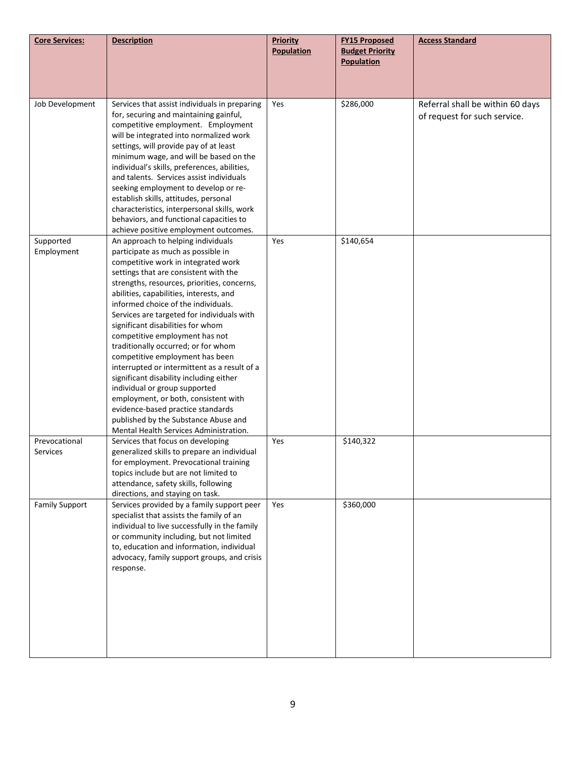| <b>Core Services:</b>            | <b>Description</b>                                                                                                                                                                                                                                                                                                                                                                                                                                                                                                                                                                                                                                                                                                                                                                  | <b>Priority</b><br><b>Population</b> | <b>FY15 Proposed</b><br><b>Budget Priority</b><br><b>Population</b> | <b>Access Standard</b>                                           |
|----------------------------------|-------------------------------------------------------------------------------------------------------------------------------------------------------------------------------------------------------------------------------------------------------------------------------------------------------------------------------------------------------------------------------------------------------------------------------------------------------------------------------------------------------------------------------------------------------------------------------------------------------------------------------------------------------------------------------------------------------------------------------------------------------------------------------------|--------------------------------------|---------------------------------------------------------------------|------------------------------------------------------------------|
|                                  |                                                                                                                                                                                                                                                                                                                                                                                                                                                                                                                                                                                                                                                                                                                                                                                     |                                      |                                                                     |                                                                  |
| Job Development                  | Services that assist individuals in preparing<br>for, securing and maintaining gainful,<br>competitive employment. Employment<br>will be integrated into normalized work<br>settings, will provide pay of at least<br>minimum wage, and will be based on the<br>individual's skills, preferences, abilities,<br>and talents. Services assist individuals<br>seeking employment to develop or re-<br>establish skills, attitudes, personal<br>characteristics, interpersonal skills, work<br>behaviors, and functional capacities to<br>achieve positive employment outcomes.                                                                                                                                                                                                        | Yes                                  | \$286,000                                                           | Referral shall be within 60 days<br>of request for such service. |
| Supported<br>Employment          | An approach to helping individuals<br>participate as much as possible in<br>competitive work in integrated work<br>settings that are consistent with the<br>strengths, resources, priorities, concerns,<br>abilities, capabilities, interests, and<br>informed choice of the individuals.<br>Services are targeted for individuals with<br>significant disabilities for whom<br>competitive employment has not<br>traditionally occurred; or for whom<br>competitive employment has been<br>interrupted or intermittent as a result of a<br>significant disability including either<br>individual or group supported<br>employment, or both, consistent with<br>evidence-based practice standards<br>published by the Substance Abuse and<br>Mental Health Services Administration. | Yes                                  | \$140,654                                                           |                                                                  |
| Prevocational<br><b>Services</b> | Services that focus on developing<br>generalized skills to prepare an individual<br>for employment. Prevocational training<br>topics include but are not limited to<br>attendance, safety skills, following<br>directions, and staying on task.                                                                                                                                                                                                                                                                                                                                                                                                                                                                                                                                     | Yes                                  | \$140,322                                                           |                                                                  |
| <b>Family Support</b>            | Services provided by a family support peer<br>specialist that assists the family of an<br>individual to live successfully in the family<br>or community including, but not limited<br>to, education and information, individual<br>advocacy, family support groups, and crisis<br>response.                                                                                                                                                                                                                                                                                                                                                                                                                                                                                         | Yes                                  | \$360,000                                                           |                                                                  |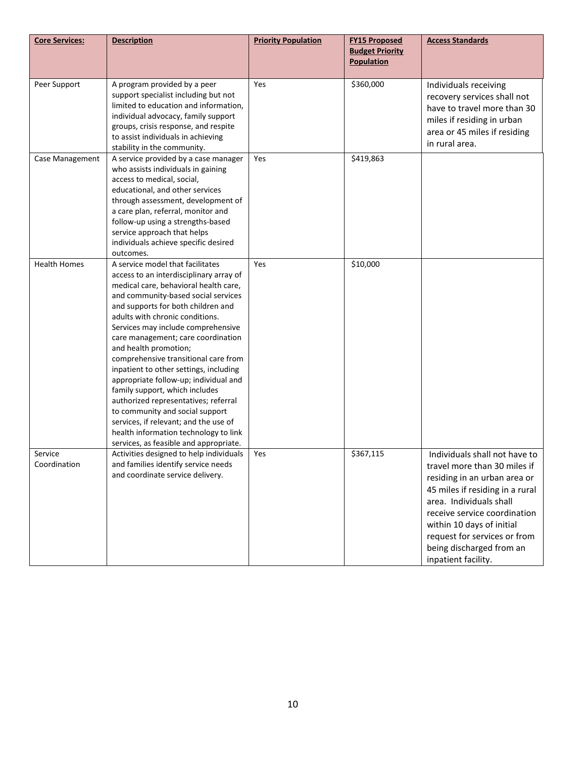| <b>Core Services:</b>   | <b>Description</b>                                                                                                                                                                                                                                                                                                                                                                                                                                                                                                                                                                                                                                                                                            | <b>Priority Population</b> | <b>FY15 Proposed</b><br><b>Budget Priority</b><br><b>Population</b> | <b>Access Standards</b>                                                                                                                                                                                                                                                                                     |
|-------------------------|---------------------------------------------------------------------------------------------------------------------------------------------------------------------------------------------------------------------------------------------------------------------------------------------------------------------------------------------------------------------------------------------------------------------------------------------------------------------------------------------------------------------------------------------------------------------------------------------------------------------------------------------------------------------------------------------------------------|----------------------------|---------------------------------------------------------------------|-------------------------------------------------------------------------------------------------------------------------------------------------------------------------------------------------------------------------------------------------------------------------------------------------------------|
| Peer Support            | A program provided by a peer<br>support specialist including but not<br>limited to education and information,<br>individual advocacy, family support<br>groups, crisis response, and respite<br>to assist individuals in achieving<br>stability in the community.                                                                                                                                                                                                                                                                                                                                                                                                                                             | Yes                        | \$360,000                                                           | Individuals receiving<br>recovery services shall not<br>have to travel more than 30<br>miles if residing in urban<br>area or 45 miles if residing<br>in rural area.                                                                                                                                         |
| Case Management         | A service provided by a case manager<br>who assists individuals in gaining<br>access to medical, social,<br>educational, and other services<br>through assessment, development of<br>a care plan, referral, monitor and<br>follow-up using a strengths-based<br>service approach that helps<br>individuals achieve specific desired<br>outcomes.                                                                                                                                                                                                                                                                                                                                                              | Yes                        | \$419,863                                                           |                                                                                                                                                                                                                                                                                                             |
| <b>Health Homes</b>     | A service model that facilitates<br>access to an interdisciplinary array of<br>medical care, behavioral health care,<br>and community-based social services<br>and supports for both children and<br>adults with chronic conditions.<br>Services may include comprehensive<br>care management; care coordination<br>and health promotion;<br>comprehensive transitional care from<br>inpatient to other settings, including<br>appropriate follow-up; individual and<br>family support, which includes<br>authorized representatives; referral<br>to community and social support<br>services, if relevant; and the use of<br>health information technology to link<br>services, as feasible and appropriate. | Yes                        | \$10,000                                                            |                                                                                                                                                                                                                                                                                                             |
| Service<br>Coordination | Activities designed to help individuals<br>and families identify service needs<br>and coordinate service delivery.                                                                                                                                                                                                                                                                                                                                                                                                                                                                                                                                                                                            | Yes                        | \$367,115                                                           | Individuals shall not have to<br>travel more than 30 miles if<br>residing in an urban area or<br>45 miles if residing in a rural<br>area. Individuals shall<br>receive service coordination<br>within 10 days of initial<br>request for services or from<br>being discharged from an<br>inpatient facility. |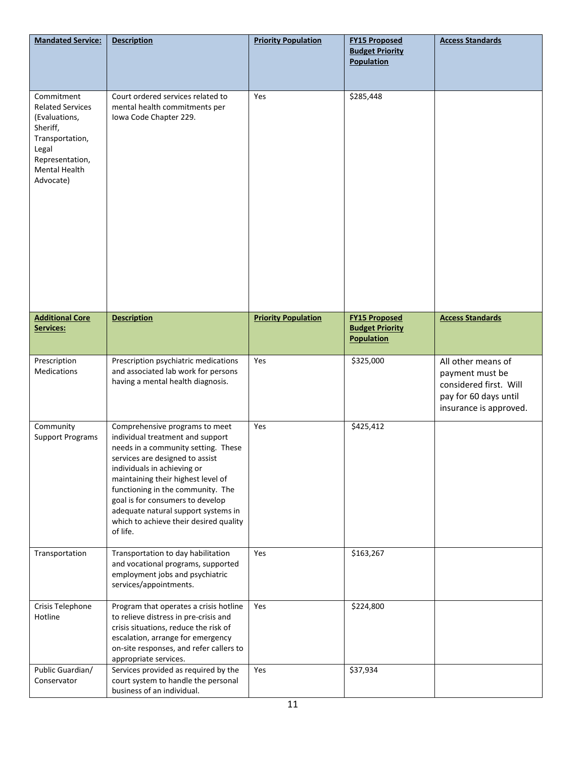| <b>Mandated Service:</b>                                                                                                                        | <b>Description</b>                                                                                                                                                                                                                                                                                                                                                                      | <b>Priority Population</b> | <b>FY15 Proposed</b>                                                | <b>Access Standards</b>                                                                                            |
|-------------------------------------------------------------------------------------------------------------------------------------------------|-----------------------------------------------------------------------------------------------------------------------------------------------------------------------------------------------------------------------------------------------------------------------------------------------------------------------------------------------------------------------------------------|----------------------------|---------------------------------------------------------------------|--------------------------------------------------------------------------------------------------------------------|
|                                                                                                                                                 |                                                                                                                                                                                                                                                                                                                                                                                         |                            | <b>Budget Priority</b><br><b>Population</b>                         |                                                                                                                    |
|                                                                                                                                                 |                                                                                                                                                                                                                                                                                                                                                                                         |                            |                                                                     |                                                                                                                    |
| Commitment<br><b>Related Services</b><br>(Evaluations,<br>Sheriff,<br>Transportation,<br>Legal<br>Representation,<br>Mental Health<br>Advocate) | Court ordered services related to<br>mental health commitments per<br>Iowa Code Chapter 229.                                                                                                                                                                                                                                                                                            | Yes                        | \$285,448                                                           |                                                                                                                    |
| <b>Additional Core</b><br><b>Services:</b>                                                                                                      | <b>Description</b>                                                                                                                                                                                                                                                                                                                                                                      | <b>Priority Population</b> | <b>FY15 Proposed</b><br><b>Budget Priority</b><br><b>Population</b> | <b>Access Standards</b>                                                                                            |
| Prescription<br><b>Medications</b>                                                                                                              | Prescription psychiatric medications<br>and associated lab work for persons<br>having a mental health diagnosis.                                                                                                                                                                                                                                                                        | Yes                        | \$325,000                                                           | All other means of<br>payment must be<br>considered first. Will<br>pay for 60 days until<br>insurance is approved. |
| Community<br><b>Support Programs</b>                                                                                                            | Comprehensive programs to meet<br>individual treatment and support<br>needs in a community setting. These<br>services are designed to assist<br>individuals in achieving or<br>maintaining their highest level of<br>functioning in the community. The<br>goal is for consumers to develop<br>adequate natural support systems in<br>which to achieve their desired quality<br>of life. | Yes                        | \$425,412                                                           |                                                                                                                    |
| Transportation                                                                                                                                  | Transportation to day habilitation<br>and vocational programs, supported<br>employment jobs and psychiatric<br>services/appointments.                                                                                                                                                                                                                                                   | Yes                        | \$163,267                                                           |                                                                                                                    |
| Crisis Telephone<br>Hotline                                                                                                                     | Program that operates a crisis hotline<br>to relieve distress in pre-crisis and<br>crisis situations, reduce the risk of<br>escalation, arrange for emergency<br>on-site responses, and refer callers to<br>appropriate services.                                                                                                                                                       | Yes                        | \$224,800                                                           |                                                                                                                    |
| Public Guardian/<br>Conservator                                                                                                                 | Services provided as required by the<br>court system to handle the personal<br>business of an individual.                                                                                                                                                                                                                                                                               | Yes                        | \$37,934                                                            |                                                                                                                    |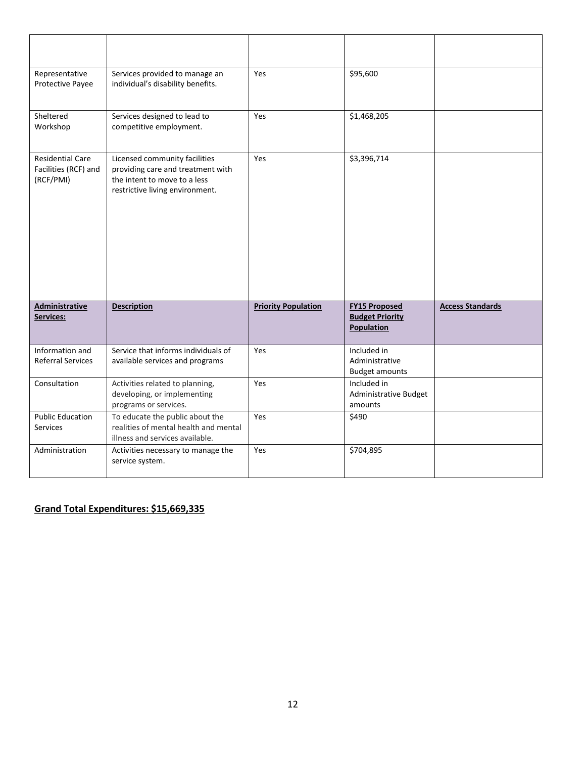| Representative<br>Protective Payee                           | Services provided to manage an<br>individual's disability benefits.                                                                   | Yes                        | \$95,600                                                     |                         |
|--------------------------------------------------------------|---------------------------------------------------------------------------------------------------------------------------------------|----------------------------|--------------------------------------------------------------|-------------------------|
| Sheltered<br>Workshop                                        | Services designed to lead to<br>competitive employment.                                                                               | Yes                        | \$1,468,205                                                  |                         |
| <b>Residential Care</b><br>Facilities (RCF) and<br>(RCF/PMI) | Licensed community facilities<br>providing care and treatment with<br>the intent to move to a less<br>restrictive living environment. | Yes                        | \$3,396,714                                                  |                         |
| <b>Administrative</b><br>Services:                           | <b>Description</b>                                                                                                                    | <b>Priority Population</b> | <b>FY15 Proposed</b><br><b>Budget Priority</b><br>Population | <b>Access Standards</b> |
| Information and<br><b>Referral Services</b>                  | Service that informs individuals of<br>available services and programs                                                                | Yes                        | Included in<br>Administrative<br><b>Budget amounts</b>       |                         |
| Consultation                                                 | Activities related to planning,<br>developing, or implementing<br>programs or services.                                               | Yes                        | Included in<br>Administrative Budget<br>amounts              |                         |
| <b>Public Education</b><br><b>Services</b>                   | To educate the public about the<br>realities of mental health and mental<br>illness and services available.                           | Yes                        | \$490                                                        |                         |
| Administration                                               | Activities necessary to manage the<br>service system.                                                                                 | Yes                        | \$704,895                                                    |                         |

#### **Grand Total Expenditures: \$15,669,335**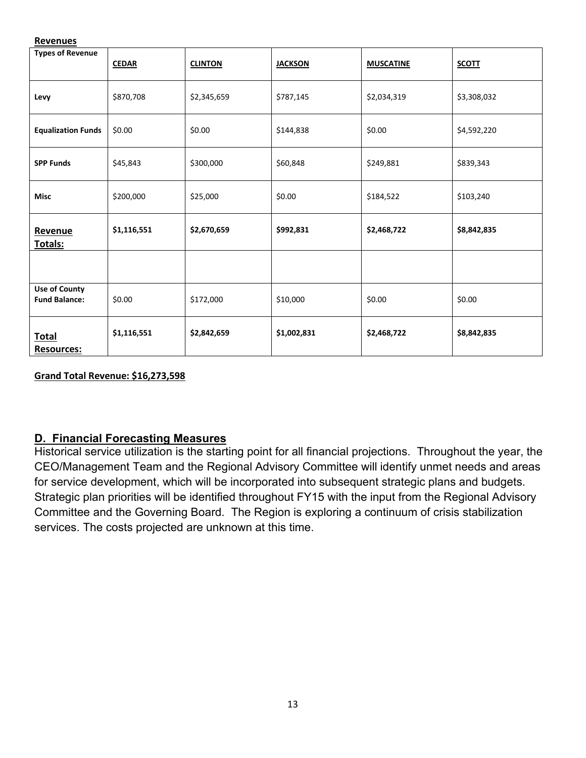#### **Revenues**

| <b>Types of Revenue</b>                      | <b>CEDAR</b> | <b>CLINTON</b> | <b>JACKSON</b> | <b>MUSCATINE</b> | <b>SCOTT</b> |
|----------------------------------------------|--------------|----------------|----------------|------------------|--------------|
| Levy                                         | \$870,708    | \$2,345,659    | \$787,145      | \$2,034,319      | \$3,308,032  |
| <b>Equalization Funds</b>                    | \$0.00       | \$0.00         | \$144,838      | \$0.00           | \$4,592,220  |
| <b>SPP Funds</b>                             | \$45,843     | \$300,000      | \$60,848       | \$249,881        | \$839,343    |
| <b>Misc</b>                                  | \$200,000    | \$25,000       | \$0.00         | \$184,522        | \$103,240    |
| <b>Revenue</b><br><b>Totals:</b>             | \$1,116,551  | \$2,670,659    | \$992,831      | \$2,468,722      | \$8,842,835  |
|                                              |              |                |                |                  |              |
| <b>Use of County</b><br><b>Fund Balance:</b> | \$0.00       | \$172,000      | \$10,000       | \$0.00           | \$0.00       |
| <b>Total</b><br><b>Resources:</b>            | \$1,116,551  | \$2,842,659    | \$1,002,831    | \$2,468,722      | \$8,842,835  |

**Grand Total Revenue: \$16,273,598**

#### <span id="page-12-0"></span>**D. Financial Forecasting Measures**

<span id="page-12-1"></span>Historical service utilization is the starting point for all financial projections. Throughout the year, the CEO/Management Team and the Regional Advisory Committee will identify unmet needs and areas for service development, which will be incorporated into subsequent strategic plans and budgets. Strategic plan priorities will be identified throughout FY15 with the input from the Regional Advisory Committee and the Governing Board. The Region is exploring a continuum of crisis stabilization services. The costs projected are unknown at this time.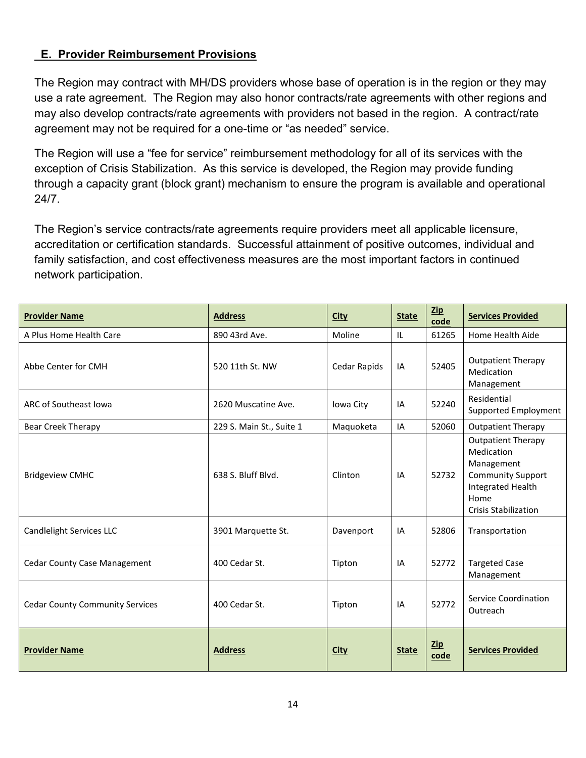#### **E. Provider Reimbursement Provisions**

The Region may contract with MH/DS providers whose base of operation is in the region or they may use a rate agreement. The Region may also honor contracts/rate agreements with other regions and may also develop contracts/rate agreements with providers not based in the region. A contract/rate agreement may not be required for a one-time or "as needed" service.

The Region will use a "fee for service" reimbursement methodology for all of its services with the exception of Crisis Stabilization. As this service is developed, the Region may provide funding through a capacity grant (block grant) mechanism to ensure the program is available and operational 24/7.

The Region's service contracts/rate agreements require providers meet all applicable licensure, accreditation or certification standards. Successful attainment of positive outcomes, individual and family satisfaction, and cost effectiveness measures are the most important factors in continued network participation.

| <b>Provider Name</b>                   | <b>Address</b>           | <b>City</b>  | <b>State</b> | $\mathbf{Zip}$<br>code | <b>Services Provided</b>                                                                                                                             |  |  |
|----------------------------------------|--------------------------|--------------|--------------|------------------------|------------------------------------------------------------------------------------------------------------------------------------------------------|--|--|
| A Plus Home Health Care                | 890 43rd Ave.            | Moline       | IL.          | 61265                  | Home Health Aide                                                                                                                                     |  |  |
| Abbe Center for CMH                    | 520 11th St. NW          | Cedar Rapids | IA           | 52405                  | <b>Outpatient Therapy</b><br>Medication<br>Management                                                                                                |  |  |
| ARC of Southeast Iowa                  | 2620 Muscatine Ave.      | Iowa City    | IA           | 52240                  | Residential<br>Supported Employment                                                                                                                  |  |  |
| <b>Bear Creek Therapy</b>              | 229 S. Main St., Suite 1 | Maquoketa    | IA           | 52060                  | <b>Outpatient Therapy</b>                                                                                                                            |  |  |
| <b>Bridgeview CMHC</b>                 | 638 S. Bluff Blvd.       | Clinton      | IA           | 52732                  | <b>Outpatient Therapy</b><br>Medication<br>Management<br><b>Community Support</b><br><b>Integrated Health</b><br>Home<br><b>Crisis Stabilization</b> |  |  |
| Candlelight Services LLC               | 3901 Marquette St.       | Davenport    | IA           | 52806                  | Transportation                                                                                                                                       |  |  |
| <b>Cedar County Case Management</b>    | 400 Cedar St.            | Tipton       | IA           | 52772                  | <b>Targeted Case</b><br>Management                                                                                                                   |  |  |
| <b>Cedar County Community Services</b> | 400 Cedar St.            | Tipton<br>IA |              | 52772                  | Service Coordination<br>Outreach                                                                                                                     |  |  |
| <b>Provider Name</b>                   | <b>Address</b>           | <b>City</b>  | <b>State</b> | $\mathbf{Zip}$<br>code | <b>Services Provided</b>                                                                                                                             |  |  |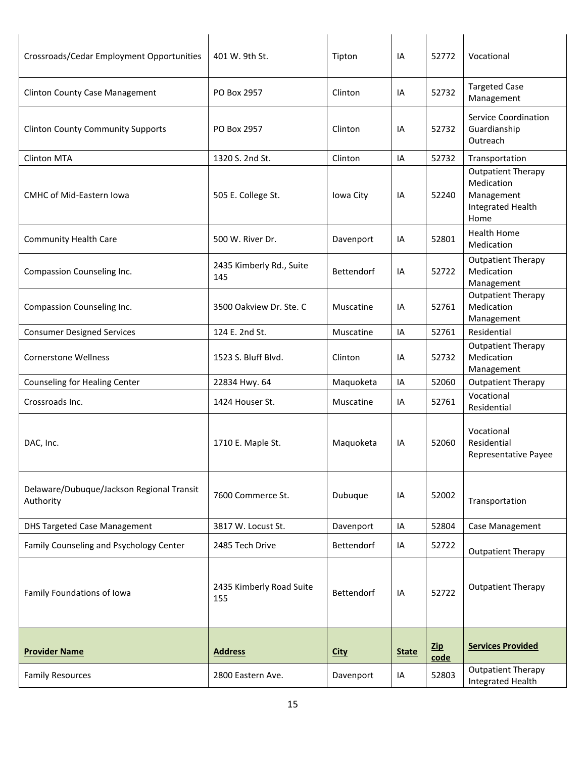| Crossroads/Cedar Employment Opportunities              | 401 W. 9th St.                            | Tipton            | IA           | 52772                  | Vocational                                                                         |  |  |
|--------------------------------------------------------|-------------------------------------------|-------------------|--------------|------------------------|------------------------------------------------------------------------------------|--|--|
| <b>Clinton County Case Management</b>                  | PO Box 2957                               | Clinton           | IA           |                        | <b>Targeted Case</b><br>Management                                                 |  |  |
| <b>Clinton County Community Supports</b>               | PO Box 2957                               | Clinton           | IA           | 52732                  | Service Coordination<br>Guardianship<br>Outreach                                   |  |  |
| <b>Clinton MTA</b>                                     | 1320 S. 2nd St.                           | Clinton           | IA           | 52732                  | Transportation                                                                     |  |  |
| <b>CMHC of Mid-Eastern Iowa</b>                        | 505 E. College St.                        | Iowa City         | IA           | 52240                  | <b>Outpatient Therapy</b><br>Medication<br>Management<br>Integrated Health<br>Home |  |  |
| <b>Community Health Care</b>                           | 500 W. River Dr.                          | Davenport         | IA           | 52801                  | <b>Health Home</b><br>Medication                                                   |  |  |
| Compassion Counseling Inc.                             | 2435 Kimberly Rd., Suite<br>145           | <b>Bettendorf</b> | IA           | 52722                  | <b>Outpatient Therapy</b><br>Medication<br>Management                              |  |  |
| Compassion Counseling Inc.                             | 3500 Oakview Dr. Ste. C                   | Muscatine         | IA           | 52761                  | <b>Outpatient Therapy</b><br>Medication<br>Management                              |  |  |
| <b>Consumer Designed Services</b>                      | 124 E. 2nd St.                            | Muscatine         | IA           | 52761                  | Residential                                                                        |  |  |
| <b>Cornerstone Wellness</b>                            | 1523 S. Bluff Blvd.                       | Clinton<br>IA     |              | 52732                  | <b>Outpatient Therapy</b><br>Medication<br>Management                              |  |  |
| Counseling for Healing Center                          | 52060<br>22834 Hwy. 64<br>Maquoketa<br>IA |                   |              |                        | <b>Outpatient Therapy</b>                                                          |  |  |
| Crossroads Inc.                                        | 1424 Houser St.                           | Muscatine         | IA           | 52761                  | Vocational<br>Residential                                                          |  |  |
| DAC, Inc.                                              | 1710 E. Maple St.                         | Maquoketa         | IA           | 52060                  | Vocational<br>Residential<br>Representative Payee                                  |  |  |
| Delaware/Dubuque/Jackson Regional Transit<br>Authority | 7600 Commerce St.                         | Dubuque           | IA           | 52002                  | Transportation                                                                     |  |  |
| <b>DHS Targeted Case Management</b>                    | 3817 W. Locust St.                        | Davenport         | IA           | 52804                  | Case Management                                                                    |  |  |
| Family Counseling and Psychology Center                | 2485 Tech Drive                           | Bettendorf        | IA           | 52722                  | <b>Outpatient Therapy</b>                                                          |  |  |
| Family Foundations of Iowa                             | 2435 Kimberly Road Suite<br>155           | Bettendorf        | IA           | 52722                  | <b>Outpatient Therapy</b>                                                          |  |  |
| <b>Provider Name</b>                                   | <b>Address</b>                            | <b>City</b>       | <b>State</b> | $\mathbf{Zip}$<br>code | <b>Services Provided</b>                                                           |  |  |
| <b>Family Resources</b>                                | 2800 Eastern Ave.                         | Davenport         | IA           | 52803                  | <b>Outpatient Therapy</b><br><b>Integrated Health</b>                              |  |  |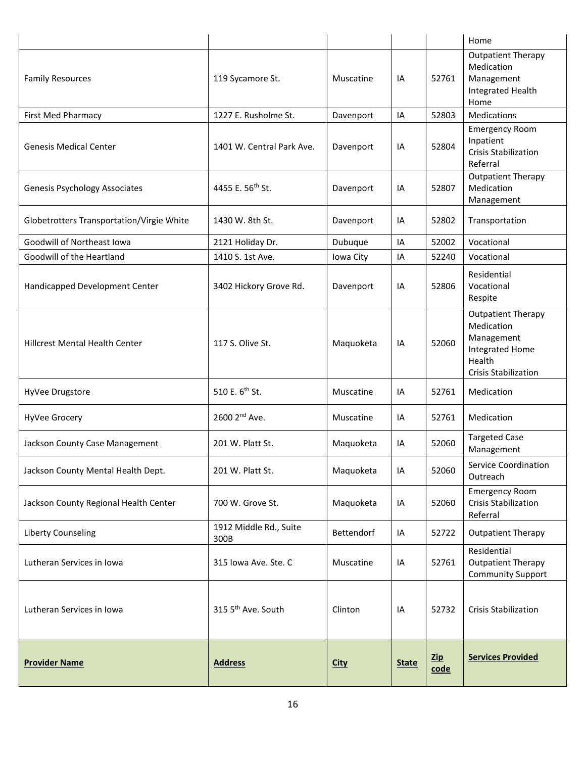|                                           |                                |               |              |                        | Home                                                                                                                     |  |
|-------------------------------------------|--------------------------------|---------------|--------------|------------------------|--------------------------------------------------------------------------------------------------------------------------|--|
| <b>Family Resources</b>                   | 119 Sycamore St.               | Muscatine     | IA           | 52761                  | <b>Outpatient Therapy</b><br>Medication<br>Management<br>Integrated Health<br>Home                                       |  |
| First Med Pharmacy                        | 1227 E. Rusholme St.           | Davenport     | IA           | 52803                  | <b>Medications</b>                                                                                                       |  |
| <b>Genesis Medical Center</b>             | 1401 W. Central Park Ave.      | Davenport     | IA           | 52804                  | <b>Emergency Room</b><br>Inpatient<br><b>Crisis Stabilization</b><br>Referral                                            |  |
| <b>Genesis Psychology Associates</b>      | 4455 E. 56 <sup>th</sup> St.   | Davenport     | IA           | 52807                  | <b>Outpatient Therapy</b><br>Medication<br>Management                                                                    |  |
| Globetrotters Transportation/Virgie White | 1430 W. 8th St.                | Davenport     | IA           | 52802                  | Transportation                                                                                                           |  |
| Goodwill of Northeast Iowa                | 2121 Holiday Dr.               | Dubuque       | IA           | 52002                  | Vocational                                                                                                               |  |
| Goodwill of the Heartland                 | 1410 S. 1st Ave.               | Iowa City     | IA           | 52240                  | Vocational                                                                                                               |  |
| Handicapped Development Center            | 3402 Hickory Grove Rd.         | Davenport     | IA           | 52806                  | Residential<br>Vocational<br>Respite                                                                                     |  |
| <b>Hillcrest Mental Health Center</b>     | 117 S. Olive St.               | Maquoketa     | IA           | 52060                  | <b>Outpatient Therapy</b><br>Medication<br>Management<br><b>Integrated Home</b><br>Health<br><b>Crisis Stabilization</b> |  |
| HyVee Drugstore                           | 510 E. 6 <sup>th</sup> St.     | Muscatine     | IA           | 52761                  | Medication                                                                                                               |  |
| HyVee Grocery                             | 2600 2 <sup>nd</sup> Ave.      | Muscatine     | IA           | 52761                  | Medication                                                                                                               |  |
| Jackson County Case Management            | 201 W. Platt St.               | Maquoketa     | IA           | 52060                  | <b>Targeted Case</b><br>Management                                                                                       |  |
| Jackson County Mental Health Dept.        | 201 W. Platt St.               | Maquoketa     | IA           | 52060                  | Service Coordination<br>Outreach                                                                                         |  |
| Jackson County Regional Health Center     | 700 W. Grove St.               | Maquoketa     | IA           | 52060                  | <b>Emergency Room</b><br><b>Crisis Stabilization</b><br>Referral                                                         |  |
| Liberty Counseling                        | 1912 Middle Rd., Suite<br>300B | Bettendorf    | IA           | 52722                  | <b>Outpatient Therapy</b>                                                                                                |  |
| Lutheran Services in Iowa                 | 315 Iowa Ave. Ste. C           | Muscatine     | IA           | 52761                  | Residential<br><b>Outpatient Therapy</b><br><b>Community Support</b>                                                     |  |
| Lutheran Services in Iowa                 | 315 5 <sup>th</sup> Ave. South | Clinton<br>IA |              | 52732                  | <b>Crisis Stabilization</b>                                                                                              |  |
| <b>Provider Name</b>                      | <b>Address</b>                 | <b>City</b>   | <b>State</b> | $\mathbf{Zip}$<br>code | <b>Services Provided</b>                                                                                                 |  |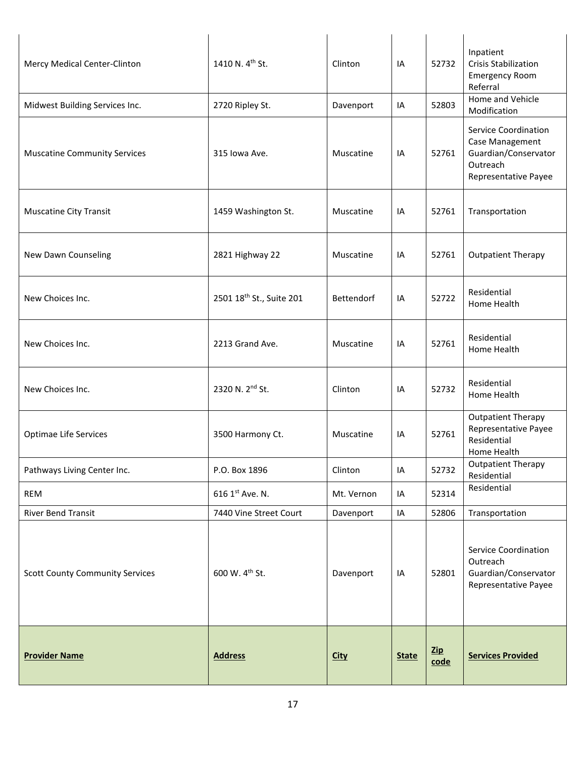| Mercy Medical Center-Clinton           | 1410 N. 4 <sup>th</sup> St.          | Clinton         | IA           | 52732                  | Inpatient<br>Crisis Stabilization<br><b>Emergency Room</b><br>Referral                              |  |  |  |
|----------------------------------------|--------------------------------------|-----------------|--------------|------------------------|-----------------------------------------------------------------------------------------------------|--|--|--|
| Midwest Building Services Inc.         | 2720 Ripley St.                      | Davenport       | IA           | 52803                  | Home and Vehicle<br>Modification                                                                    |  |  |  |
| <b>Muscatine Community Services</b>    | 315 Iowa Ave.                        | Muscatine       | IA           | 52761                  | Service Coordination<br>Case Management<br>Guardian/Conservator<br>Outreach<br>Representative Payee |  |  |  |
| <b>Muscatine City Transit</b>          | 1459 Washington St.                  | Muscatine       | IA           | 52761                  | Transportation                                                                                      |  |  |  |
| New Dawn Counseling                    | 2821 Highway 22                      | Muscatine       | IA           | 52761                  | <b>Outpatient Therapy</b>                                                                           |  |  |  |
| New Choices Inc.                       | 2501 18 <sup>th</sup> St., Suite 201 | Bettendorf      | IA           | 52722                  | Residential<br>Home Health                                                                          |  |  |  |
| New Choices Inc.                       | 2213 Grand Ave.                      | Muscatine<br>IA |              | 52761                  | Residential<br>Home Health                                                                          |  |  |  |
| New Choices Inc.                       | 2320 N. 2nd St.                      | Clinton         | 52732<br>IA  |                        | Residential<br>Home Health                                                                          |  |  |  |
| <b>Optimae Life Services</b>           | 3500 Harmony Ct.                     | Muscatine<br>IA |              | 52761                  | <b>Outpatient Therapy</b><br>Representative Payee<br>Residential<br>Home Health                     |  |  |  |
| Pathways Living Center Inc.            | P.O. Box 1896                        | Clinton<br>IA   |              | 52732                  | Outpatient Therapy<br>Residential                                                                   |  |  |  |
| <b>REM</b>                             | 616 1st Ave. N.                      | Mt. Vernon      | IA           | 52314                  | Residential                                                                                         |  |  |  |
| <b>River Bend Transit</b>              | 7440 Vine Street Court               | Davenport       | IA           | 52806                  | Transportation                                                                                      |  |  |  |
| <b>Scott County Community Services</b> | 600 W. 4 <sup>th</sup> St.           | Davenport<br>IA |              | 52801                  | Service Coordination<br>Outreach<br>Guardian/Conservator<br>Representative Payee                    |  |  |  |
| <b>Provider Name</b>                   | <b>Address</b>                       | <b>City</b>     | <b>State</b> | $\mathbf{Zip}$<br>code | <b>Services Provided</b>                                                                            |  |  |  |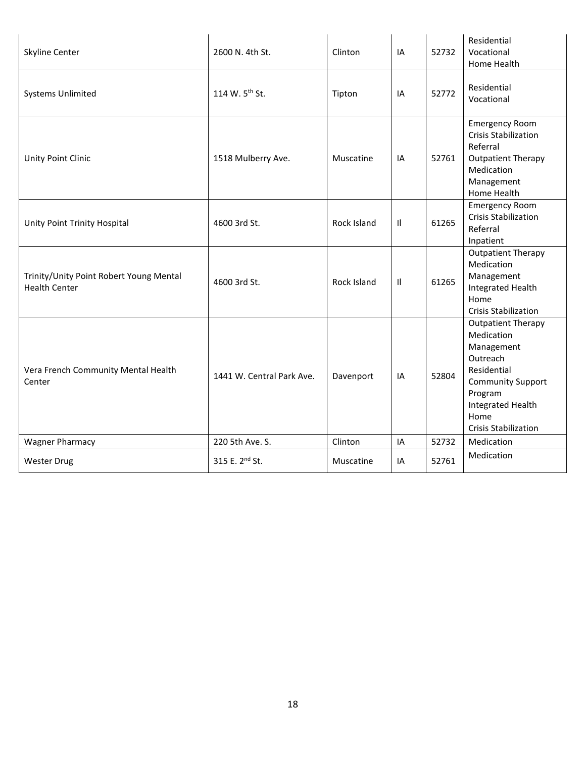| Skyline Center                                                  | 2600 N. 4th St.            | Clinton     | IA           | 52732 | Residential<br>Vocational<br>Home Health                                                                                                                                     |
|-----------------------------------------------------------------|----------------------------|-------------|--------------|-------|------------------------------------------------------------------------------------------------------------------------------------------------------------------------------|
| <b>Systems Unlimited</b>                                        | 114 W. 5 <sup>th</sup> St. | Tipton      | IA           | 52772 | Residential<br>Vocational                                                                                                                                                    |
| Unity Point Clinic                                              | 1518 Mulberry Ave.         | Muscatine   | IA           | 52761 | <b>Emergency Room</b><br><b>Crisis Stabilization</b><br>Referral<br><b>Outpatient Therapy</b><br>Medication<br>Management<br>Home Health                                     |
| Unity Point Trinity Hospital                                    | 4600 3rd St.               | Rock Island | $\mathsf{I}$ | 61265 | <b>Emergency Room</b><br><b>Crisis Stabilization</b><br>Referral<br>Inpatient                                                                                                |
| Trinity/Unity Point Robert Young Mental<br><b>Health Center</b> | 4600 3rd St.               | Rock Island | $\mathbf{H}$ | 61265 | <b>Outpatient Therapy</b><br>Medication<br>Management<br>Integrated Health<br>Home<br><b>Crisis Stabilization</b>                                                            |
| Vera French Community Mental Health<br>Center                   | 1441 W. Central Park Ave.  | Davenport   | IA           | 52804 | <b>Outpatient Therapy</b><br>Medication<br>Management<br>Outreach<br>Residential<br><b>Community Support</b><br>Program<br>Integrated Health<br>Home<br>Crisis Stabilization |
| <b>Wagner Pharmacy</b>                                          | 220 5th Ave. S.            | Clinton     | IA           | 52732 | Medication                                                                                                                                                                   |
| <b>Wester Drug</b>                                              | 315 E. 2 <sup>nd</sup> St. | Muscatine   | IA           | 52761 | Medication                                                                                                                                                                   |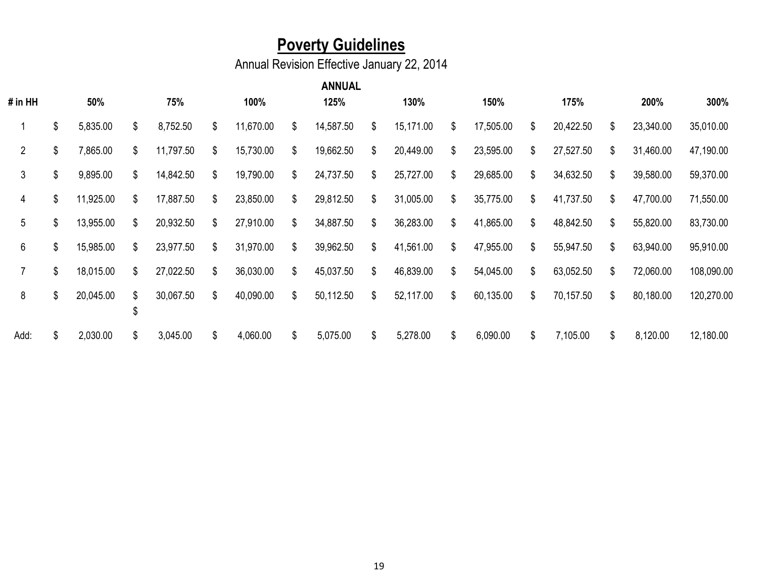# **Poverty Guidelines**

Annual Revision Effective January 22, 2014

| # in HH        | 50%             |          | 75%       | 100%            | <b>ANNUAL</b><br>125% | 130%            | 150%            | 175%            | 200%            | 300%       |
|----------------|-----------------|----------|-----------|-----------------|-----------------------|-----------------|-----------------|-----------------|-----------------|------------|
|                | \$<br>5,835.00  | \$       | 8,752.50  | \$<br>11,670.00 | \$<br>14,587.50       | \$<br>15,171.00 | \$<br>17,505.00 | \$<br>20,422.50 | \$<br>23,340.00 | 35,010.00  |
| $\overline{2}$ | \$<br>7,865.00  | \$       | 11,797.50 | \$<br>15,730.00 | \$<br>19,662.50       | \$<br>20,449.00 | \$<br>23,595.00 | \$<br>27,527.50 | \$<br>31,460.00 | 47,190.00  |
| 3              | \$<br>9,895.00  | \$       | 14,842.50 | \$<br>19,790.00 | \$<br>24,737.50       | \$<br>25,727.00 | \$<br>29,685.00 | \$<br>34,632.50 | \$<br>39,580.00 | 59,370.00  |
| 4              | \$<br>11,925.00 | \$       | 17,887.50 | \$<br>23,850.00 | \$<br>29,812.50       | \$<br>31,005.00 | \$<br>35,775.00 | \$<br>41,737.50 | \$<br>47,700.00 | 71,550.00  |
| 5              | \$<br>13,955.00 | \$       | 20,932.50 | \$<br>27,910.00 | \$<br>34,887.50       | \$<br>36,283.00 | \$<br>41,865.00 | \$<br>48,842.50 | \$<br>55,820.00 | 83,730.00  |
| 6              | \$<br>15,985.00 | \$       | 23,977.50 | \$<br>31,970.00 | \$<br>39,962.50       | \$<br>41,561.00 | \$<br>47,955.00 | \$<br>55,947.50 | \$<br>63,940.00 | 95,910.00  |
| $\overline{7}$ | \$<br>18,015.00 | \$       | 27,022.50 | \$<br>36,030.00 | \$<br>45,037.50       | \$<br>46,839.00 | \$<br>54,045.00 | \$<br>63,052.50 | \$<br>72,060.00 | 108,090.00 |
| 8              | \$<br>20,045.00 | \$<br>\$ | 30,067.50 | \$<br>40,090.00 | \$<br>50,112.50       | \$<br>52,117.00 | \$<br>60,135.00 | \$<br>70,157.50 | \$<br>80,180.00 | 120,270.00 |
| Add:           | \$<br>2,030.00  | \$       | 3,045.00  | \$<br>4,060.00  | \$<br>5,075.00        | \$<br>5,278.00  | \$<br>6,090.00  | \$<br>7,105.00  | \$<br>8,120.00  | 12,180.00  |